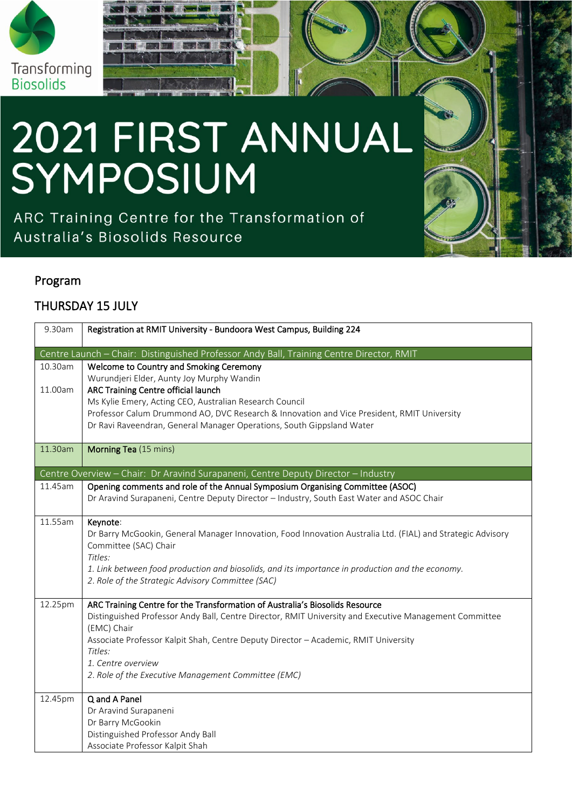

# 2021 FIRST ANNUAL<br>SYMPOSIUM

RMIT Classification: Trusted

ARC Training Centre for the Transformation of Australia's Biosolids Resource

### Program

## THURSDAY 15 JULY

| 9.30am                                                                                   | Registration at RMIT University - Bundoora West Campus, Building 224                                                                                                                   |  |
|------------------------------------------------------------------------------------------|----------------------------------------------------------------------------------------------------------------------------------------------------------------------------------------|--|
| Centre Launch - Chair: Distinguished Professor Andy Ball, Training Centre Director, RMIT |                                                                                                                                                                                        |  |
| 10.30am                                                                                  | Welcome to Country and Smoking Ceremony                                                                                                                                                |  |
|                                                                                          | Wurundjeri Elder, Aunty Joy Murphy Wandin                                                                                                                                              |  |
| 11.00am                                                                                  | ARC Training Centre official launch                                                                                                                                                    |  |
|                                                                                          | Ms Kylie Emery, Acting CEO, Australian Research Council                                                                                                                                |  |
|                                                                                          | Professor Calum Drummond AO, DVC Research & Innovation and Vice President, RMIT University                                                                                             |  |
|                                                                                          | Dr Ravi Raveendran, General Manager Operations, South Gippsland Water                                                                                                                  |  |
| 11.30am                                                                                  | Morning Tea (15 mins)                                                                                                                                                                  |  |
|                                                                                          | Centre Overview - Chair: Dr Aravind Surapaneni, Centre Deputy Director - Industry                                                                                                      |  |
| 11.45am                                                                                  | Opening comments and role of the Annual Symposium Organising Committee (ASOC)                                                                                                          |  |
|                                                                                          | Dr Aravind Surapaneni, Centre Deputy Director - Industry, South East Water and ASOC Chair                                                                                              |  |
| 11.55am                                                                                  | Keynote:                                                                                                                                                                               |  |
|                                                                                          | Dr Barry McGookin, General Manager Innovation, Food Innovation Australia Ltd. (FIAL) and Strategic Advisory                                                                            |  |
|                                                                                          | Committee (SAC) Chair                                                                                                                                                                  |  |
|                                                                                          | Titles:                                                                                                                                                                                |  |
|                                                                                          | 1. Link between food production and biosolids, and its importance in production and the economy.                                                                                       |  |
|                                                                                          | 2. Role of the Strategic Advisory Committee (SAC)                                                                                                                                      |  |
|                                                                                          |                                                                                                                                                                                        |  |
| 12.25pm                                                                                  | ARC Training Centre for the Transformation of Australia's Biosolids Resource<br>Distinguished Professor Andy Ball, Centre Director, RMIT University and Executive Management Committee |  |
|                                                                                          | (EMC) Chair                                                                                                                                                                            |  |
|                                                                                          | Associate Professor Kalpit Shah, Centre Deputy Director - Academic, RMIT University                                                                                                    |  |
|                                                                                          | Titles:                                                                                                                                                                                |  |
|                                                                                          | 1. Centre overview                                                                                                                                                                     |  |
|                                                                                          | 2. Role of the Executive Management Committee (EMC)                                                                                                                                    |  |
| 12.45pm                                                                                  | Q and A Panel                                                                                                                                                                          |  |
|                                                                                          | Dr Aravind Surapaneni                                                                                                                                                                  |  |
|                                                                                          | Dr Barry McGookin                                                                                                                                                                      |  |
|                                                                                          | Distinguished Professor Andy Ball                                                                                                                                                      |  |
|                                                                                          | Associate Professor Kalpit Shah                                                                                                                                                        |  |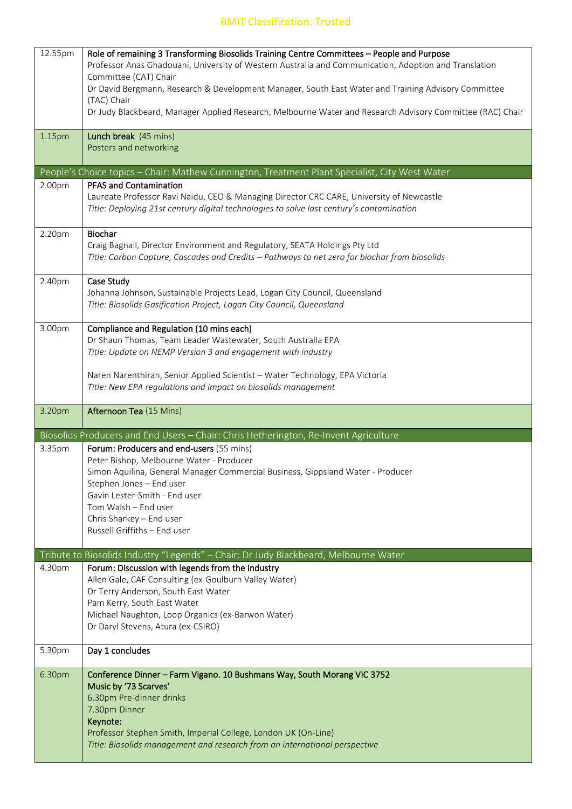### RMIT Classification: Trusted

| 12.55pm | Role of remaining 3 Transforming Biosolids Training Centre Committees - People and Purpose                                                   |
|---------|----------------------------------------------------------------------------------------------------------------------------------------------|
|         | Professor Anas Ghadouani, University of Western Australia and Communication, Adoption and Translation                                        |
|         | Committee (CAT) Chair                                                                                                                        |
|         | Dr David Bergmann, Research & Development Manager, South East Water and Training Advisory Committee                                          |
|         | (TAC) Chair                                                                                                                                  |
|         | Dr Judy Blackbeard, Manager Applied Research, Melbourne Water and Research Advisory Committee (RAC) Chair                                    |
|         |                                                                                                                                              |
| 1.15pm  | Lunch break (45 mins)                                                                                                                        |
|         | Posters and networking                                                                                                                       |
|         | People's Choice topics - Chair: Mathew Cunnington, Treatment Plant Specialist, City West Water                                               |
| 2.00pm  | <b>PFAS and Contamination</b>                                                                                                                |
|         | Laureate Professor Ravi Naidu, CEO & Managing Director CRC CARE, University of Newcastle                                                     |
|         | Title: Deploying 21st century digital technologies to solve last century's contamination                                                     |
|         |                                                                                                                                              |
| 2.20pm  | Biochar                                                                                                                                      |
|         | Craig Bagnall, Director Environment and Regulatory, SEATA Holdings Pty Ltd                                                                   |
|         | Title: Carbon Capture, Cascades and Credits - Pathways to net zero for biochar from biosolids                                                |
| 2.40pm  | Case Study                                                                                                                                   |
|         | Johanna Johnson, Sustainable Projects Lead, Logan City Council, Queensland                                                                   |
|         | Title: Biosolids Gasification Project, Logan City Council, Queensland                                                                        |
|         |                                                                                                                                              |
| 3.00pm  | Compliance and Regulation (10 mins each)                                                                                                     |
|         | Dr Shaun Thomas, Team Leader Wastewater, South Australia EPA                                                                                 |
|         | Title: Update on NEMP Version 3 and engagement with industry                                                                                 |
|         |                                                                                                                                              |
|         | Naren Narenthiran, Senior Applied Scientist - Water Technology, EPA Victoria                                                                 |
|         | Title: New EPA regulations and impact on biosolids management                                                                                |
|         |                                                                                                                                              |
|         |                                                                                                                                              |
| 3.20pm  | Afternoon Tea (15 Mins)                                                                                                                      |
|         | Biosolids Producers and End Users - Chair: Chris Hetherington, Re-Invent Agriculture                                                         |
| 3.35pm  | Forum: Producers and end-users (55 mins)                                                                                                     |
|         | Peter Bishop, Melbourne Water - Producer                                                                                                     |
|         | Simon Aquilina, General Manager Commercial Business, Gippsland Water - Producer                                                              |
|         | Stephen Jones - End user                                                                                                                     |
|         | Gavin Lester-Smith - End user                                                                                                                |
|         | Tom Walsh - End user                                                                                                                         |
|         | Chris Sharkey - End user                                                                                                                     |
|         | Russell Griffiths - End user                                                                                                                 |
|         | Tribute to Biosolids Industry "Legends" - Chair: Dr Judy Blackbeard, Melbourne Water                                                         |
| 4.30pm  | Forum: Discussion with legends from the industry                                                                                             |
|         | Allen Gale, CAF Consulting (ex-Goulburn Valley Water)                                                                                        |
|         | Dr Terry Anderson, South East Water                                                                                                          |
|         | Pam Kerry, South East Water                                                                                                                  |
|         | Michael Naughton, Loop Organics (ex-Barwon Water)                                                                                            |
|         | Dr Daryl Stevens, Atura (ex-CSIRO)                                                                                                           |
| 5.30pm  | Day 1 concludes                                                                                                                              |
|         |                                                                                                                                              |
| 6.30pm  | Conference Dinner - Farm Vigano. 10 Bushmans Way, South Morang VIC 3752                                                                      |
|         | Music by '73 Scarves'                                                                                                                        |
|         | 6.30pm Pre-dinner drinks                                                                                                                     |
|         | 7.30pm Dinner                                                                                                                                |
|         | Keynote:                                                                                                                                     |
|         | Professor Stephen Smith, Imperial College, London UK (On-Line)<br>Title: Biosolids management and research from an international perspective |